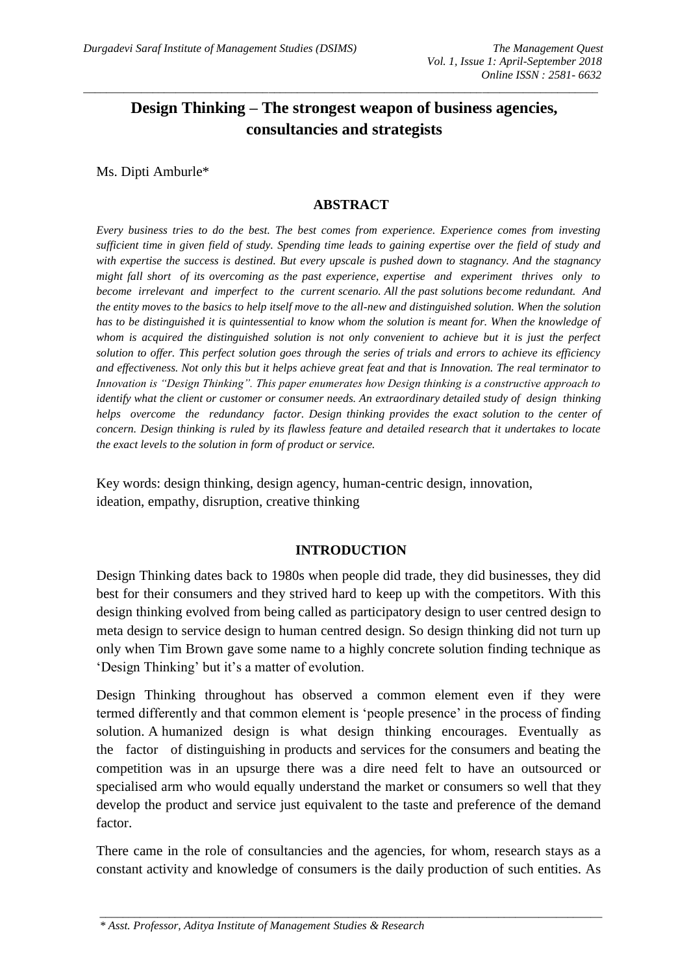# **Design Thinking – The strongest weapon of business agencies, consultancies and strategists**

\_\_\_\_\_\_\_\_\_\_\_\_\_\_\_\_\_\_\_\_\_\_\_\_\_\_\_\_\_\_\_\_\_\_\_\_\_\_\_\_\_\_\_\_\_\_\_\_\_\_\_\_\_\_\_\_\_\_\_\_\_\_\_\_\_\_\_\_\_\_\_\_\_\_\_\_\_\_\_\_\_\_\_\_\_\_\_\_\_

Ms. Dipti Amburle\*

### **ABSTRACT**

*Every business tries to do the best. The best comes from experience. Experience comes from investing sufficient time in given field of study. Spending time leads to gaining expertise over the field of study and with expertise the success is destined. But every upscale is pushed down to stagnancy. And the stagnancy might fall short of its overcoming as the past experience, expertise and experiment thrives only to become irrelevant and imperfect to the current scenario. All the past solutions become redundant. And the entity moves to the basics to help itself move to the all-new and distinguished solution. When the solution has to be distinguished it is quintessential to know whom the solution is meant for. When the knowledge of whom is acquired the distinguished solution is not only convenient to achieve but it is just the perfect solution to offer. This perfect solution goes through the series of trials and errors to achieve its efficiency and effectiveness. Not only this but it helps achieve great feat and that is Innovation. The real terminator to Innovation is "Design Thinking". This paper enumerates how Design thinking is a constructive approach to identify what the client or customer or consumer needs. An extraordinary detailed study of design thinking helps overcome the redundancy factor. Design thinking provides the exact solution to the center of concern. Design thinking is ruled by its flawless feature and detailed research that it undertakes to locate the exact levels to the solution in form of product or service.*

Key words: design thinking, design agency, human-centric design, innovation, ideation, empathy, disruption, creative thinking

# **INTRODUCTION**

Design Thinking dates back to 1980s when people did trade, they did businesses, they did best for their consumers and they strived hard to keep up with the competitors. With this design thinking evolved from being called as participatory design to user centred design to meta design to service design to human centred design. So design thinking did not turn up only when Tim Brown gave some name to a highly concrete solution finding technique as 'Design Thinking' but it's a matter of evolution.

Design Thinking throughout has observed a common element even if they were termed differently and that common element is 'people presence' in the process of finding solution. A humanized design is what design thinking encourages. Eventually as the factor of distinguishing in products and services for the consumers and beating the competition was in an upsurge there was a dire need felt to have an outsourced or specialised arm who would equally understand the market or consumers so well that they develop the product and service just equivalent to the taste and preference of the demand factor.

There came in the role of consultancies and the agencies, for whom, research stays as a constant activity and knowledge of consumers is the daily production of such entities. As

\_\_\_\_\_\_\_\_\_\_\_\_\_\_\_\_\_\_\_\_\_\_\_\_\_\_\_\_\_\_\_\_\_\_\_\_\_\_\_\_\_\_\_\_\_\_\_\_\_\_\_\_\_\_\_\_\_\_\_\_\_\_\_\_\_\_\_\_\_\_\_\_\_\_\_\_\_\_\_\_\_\_\_\_\_\_\_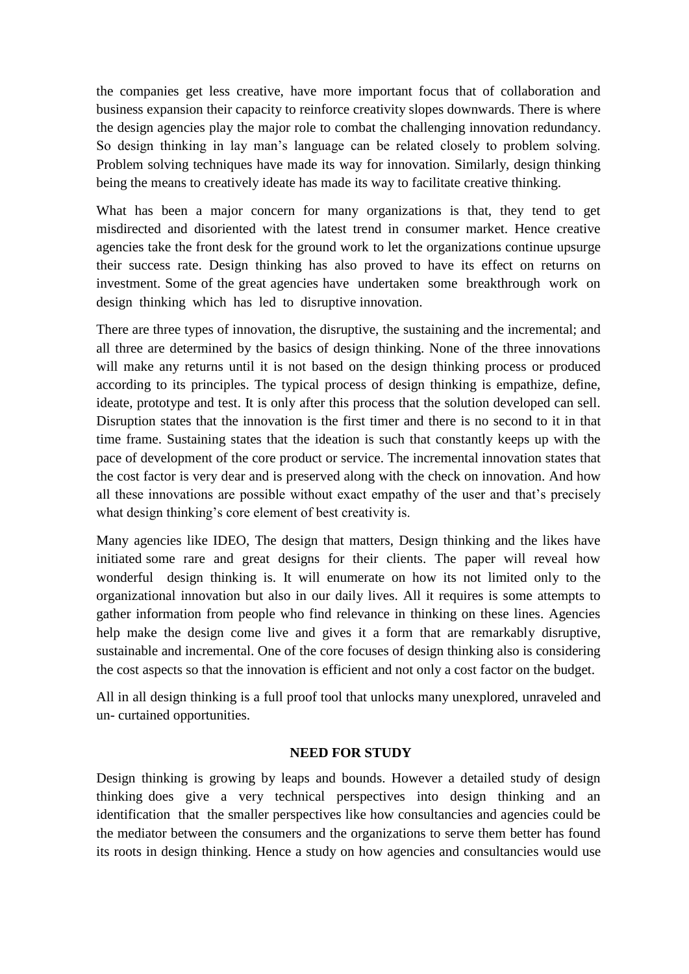the companies get less creative, have more important focus that of collaboration and business expansion their capacity to reinforce creativity slopes downwards. There is where the design agencies play the major role to combat the challenging innovation redundancy. So design thinking in lay man's language can be related closely to problem solving. Problem solving techniques have made its way for innovation. Similarly, design thinking being the means to creatively ideate has made its way to facilitate creative thinking.

What has been a major concern for many organizations is that, they tend to get misdirected and disoriented with the latest trend in consumer market. Hence creative agencies take the front desk for the ground work to let the organizations continue upsurge their success rate. Design thinking has also proved to have its effect on returns on investment. Some of the great agencies have undertaken some breakthrough work on design thinking which has led to disruptive innovation.

There are three types of innovation, the disruptive, the sustaining and the incremental; and all three are determined by the basics of design thinking. None of the three innovations will make any returns until it is not based on the design thinking process or produced according to its principles. The typical process of design thinking is empathize, define, ideate, prototype and test. It is only after this process that the solution developed can sell. Disruption states that the innovation is the first timer and there is no second to it in that time frame. Sustaining states that the ideation is such that constantly keeps up with the pace of development of the core product or service. The incremental innovation states that the cost factor is very dear and is preserved along with the check on innovation. And how all these innovations are possible without exact empathy of the user and that's precisely what design thinking's core element of best creativity is.

Many agencies like IDEO, The design that matters, Design thinking and the likes have initiated some rare and great designs for their clients. The paper will reveal how wonderful design thinking is. It will enumerate on how its not limited only to the organizational innovation but also in our daily lives. All it requires is some attempts to gather information from people who find relevance in thinking on these lines. Agencies help make the design come live and gives it a form that are remarkably disruptive, sustainable and incremental. One of the core focuses of design thinking also is considering the cost aspects so that the innovation is efficient and not only a cost factor on the budget.

All in all design thinking is a full proof tool that unlocks many unexplored, unraveled and un- curtained opportunities.

# **NEED FOR STUDY**

Design thinking is growing by leaps and bounds. However a detailed study of design thinking does give a very technical perspectives into design thinking and an identification that the smaller perspectives like how consultancies and agencies could be the mediator between the consumers and the organizations to serve them better has found its roots in design thinking. Hence a study on how agencies and consultancies would use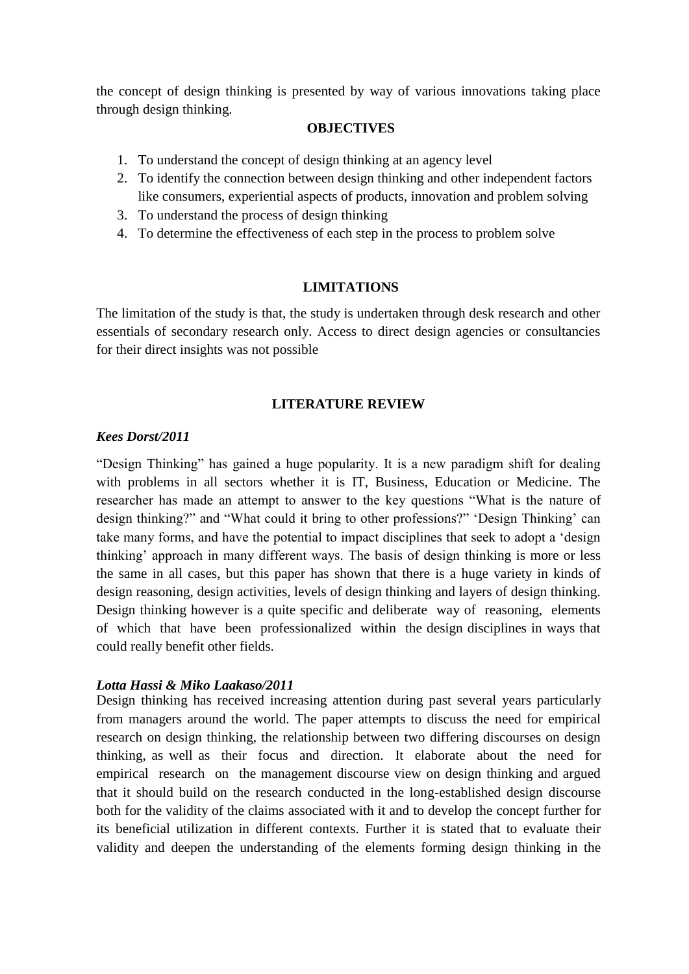the concept of design thinking is presented by way of various innovations taking place through design thinking.

### **OBJECTIVES**

- 1. To understand the concept of design thinking at an agency level
- 2. To identify the connection between design thinking and other independent factors like consumers, experiential aspects of products, innovation and problem solving
- 3. To understand the process of design thinking
- 4. To determine the effectiveness of each step in the process to problem solve

### **LIMITATIONS**

The limitation of the study is that, the study is undertaken through desk research and other essentials of secondary research only. Access to direct design agencies or consultancies for their direct insights was not possible

### **LITERATURE REVIEW**

### *Kees Dorst/2011*

"Design Thinking" has gained a huge popularity. It is a new paradigm shift for dealing with problems in all sectors whether it is IT, Business, Education or Medicine. The researcher has made an attempt to answer to the key questions "What is the nature of design thinking?" and "What could it bring to other professions?" 'Design Thinking' can take many forms, and have the potential to impact disciplines that seek to adopt a 'design thinking' approach in many different ways. The basis of design thinking is more or less the same in all cases, but this paper has shown that there is a huge variety in kinds of design reasoning, design activities, levels of design thinking and layers of design thinking. Design thinking however is a quite specific and deliberate way of reasoning, elements of which that have been professionalized within the design disciplines in ways that could really benefit other fields.

### *Lotta Hassi & Miko Laakaso/2011*

Design thinking has received increasing attention during past several years particularly from managers around the world. The paper attempts to discuss the need for empirical research on design thinking, the relationship between two differing discourses on design thinking, as well as their focus and direction. It elaborate about the need for empirical research on the management discourse view on design thinking and argued that it should build on the research conducted in the long-established design discourse both for the validity of the claims associated with it and to develop the concept further for its beneficial utilization in different contexts. Further it is stated that to evaluate their validity and deepen the understanding of the elements forming design thinking in the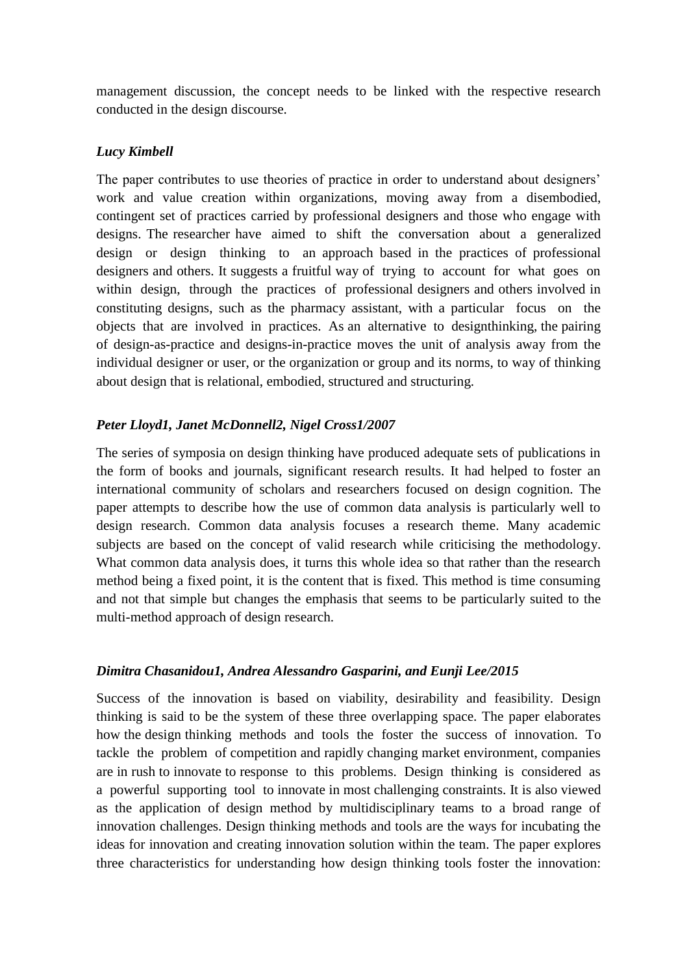management discussion, the concept needs to be linked with the respective research conducted in the design discourse.

### *Lucy Kimbell*

The paper contributes to use theories of practice in order to understand about designers' work and value creation within organizations, moving away from a disembodied, contingent set of practices carried by professional designers and those who engage with designs. The researcher have aimed to shift the conversation about a generalized design or design thinking to an approach based in the practices of professional designers and others. It suggests a fruitful way of trying to account for what goes on within design, through the practices of professional designers and others involved in constituting designs, such as the pharmacy assistant, with a particular focus on the objects that are involved in practices. As an alternative to designthinking, the pairing of design-as-practice and designs-in-practice moves the unit of analysis away from the individual designer or user, or the organization or group and its norms, to way of thinking about design that is relational, embodied, structured and structuring.

### *Peter Lloyd1, Janet McDonnell2, Nigel Cross1/2007*

The series of symposia on design thinking have produced adequate sets of publications in the form of books and journals, significant research results. It had helped to foster an international community of scholars and researchers focused on design cognition. The paper attempts to describe how the use of common data analysis is particularly well to design research. Common data analysis focuses a research theme. Many academic subjects are based on the concept of valid research while criticising the methodology. What common data analysis does, it turns this whole idea so that rather than the research method being a fixed point, it is the content that is fixed. This method is time consuming and not that simple but changes the emphasis that seems to be particularly suited to the multi-method approach of design research.

### *Dimitra Chasanidou1, Andrea Alessandro Gasparini, and Eunji Lee/2015*

Success of the innovation is based on viability, desirability and feasibility. Design thinking is said to be the system of these three overlapping space. The paper elaborates how the design thinking methods and tools the foster the success of innovation. To tackle the problem of competition and rapidly changing market environment, companies are in rush to innovate to response to this problems. Design thinking is considered as a powerful supporting tool to innovate in most challenging constraints. It is also viewed as the application of design method by multidisciplinary teams to a broad range of innovation challenges. Design thinking methods and tools are the ways for incubating the ideas for innovation and creating innovation solution within the team. The paper explores three characteristics for understanding how design thinking tools foster the innovation: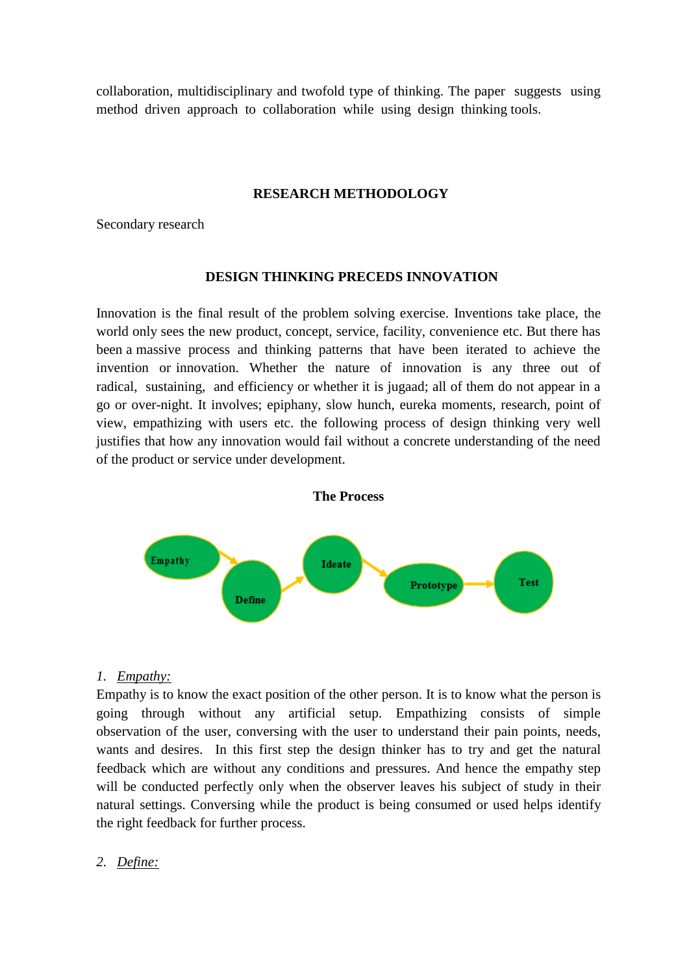collaboration, multidisciplinary and twofold type of thinking. The paper suggests using method driven approach to collaboration while using design thinking tools.

#### **RESEARCH METHODOLOGY**

Secondary research

#### **DESIGN THINKING PRECEDS INNOVATION**

Innovation is the final result of the problem solving exercise. Inventions take place, the world only sees the new product, concept, service, facility, convenience etc. But there has been a massive process and thinking patterns that have been iterated to achieve the invention or innovation. Whether the nature of innovation is any three out of radical, sustaining, and efficiency or whether it is jugaad; all of them do not appear in a go or over-night. It involves; epiphany, slow hunch, eureka moments, research, point of view, empathizing with users etc. the following process of design thinking very well justifies that how any innovation would fail without a concrete understanding of the need of the product or service under development.



# *1. Empathy:*

Empathy is to know the exact position of the other person. It is to know what the person is going through without any artificial setup. Empathizing consists of simple observation of the user, conversing with the user to understand their pain points, needs, wants and desires. In this first step the design thinker has to try and get the natural feedback which are without any conditions and pressures. And hence the empathy step will be conducted perfectly only when the observer leaves his subject of study in their natural settings. Conversing while the product is being consumed or used helps identify the right feedback for further process.

*2. Define:*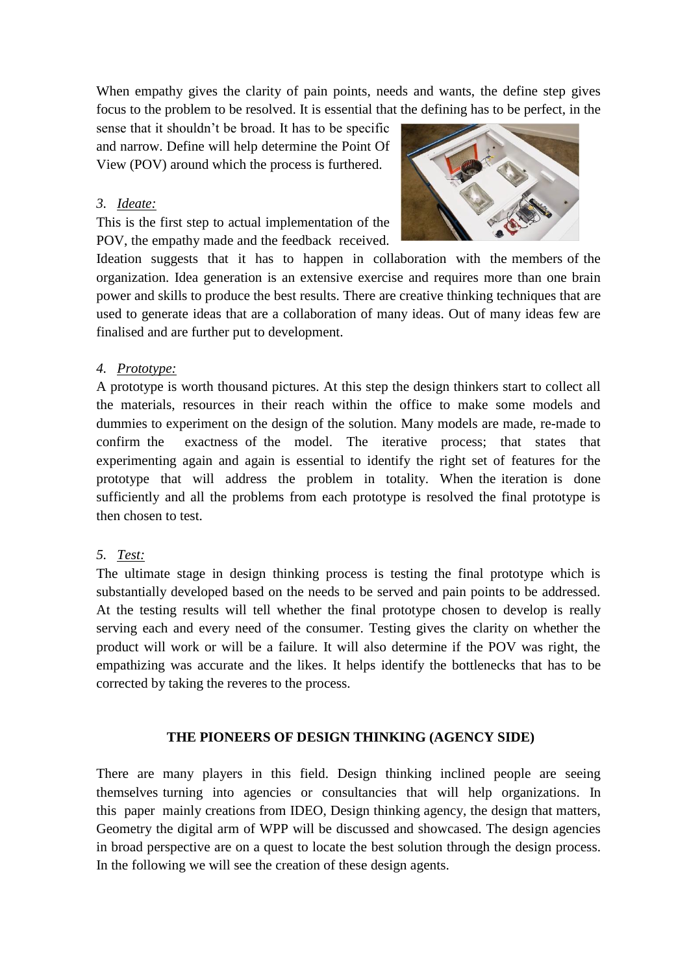When empathy gives the clarity of pain points, needs and wants, the define step gives focus to the problem to be resolved. It is essential that the defining has to be perfect, in the

sense that it shouldn't be broad. It has to be specific and narrow. Define will help determine the Point Of View (POV) around which the process is furthered.

### *3. Ideate:*

This is the first step to actual implementation of the POV, the empathy made and the feedback received.



Ideation suggests that it has to happen in collaboration with the members of the organization. Idea generation is an extensive exercise and requires more than one brain power and skills to produce the best results. There are creative thinking techniques that are used to generate ideas that are a collaboration of many ideas. Out of many ideas few are finalised and are further put to development.

### *4. Prototype:*

A prototype is worth thousand pictures. At this step the design thinkers start to collect all the materials, resources in their reach within the office to make some models and dummies to experiment on the design of the solution. Many models are made, re-made to confirm the exactness of the model. The iterative process; that states that experimenting again and again is essential to identify the right set of features for the prototype that will address the problem in totality. When the iteration is done sufficiently and all the problems from each prototype is resolved the final prototype is then chosen to test.

# *5. Test:*

The ultimate stage in design thinking process is testing the final prototype which is substantially developed based on the needs to be served and pain points to be addressed. At the testing results will tell whether the final prototype chosen to develop is really serving each and every need of the consumer. Testing gives the clarity on whether the product will work or will be a failure. It will also determine if the POV was right, the empathizing was accurate and the likes. It helps identify the bottlenecks that has to be corrected by taking the reveres to the process.

### **THE PIONEERS OF DESIGN THINKING (AGENCY SIDE)**

There are many players in this field. Design thinking inclined people are seeing themselves turning into agencies or consultancies that will help organizations. In this paper mainly creations from IDEO, Design thinking agency, the design that matters, Geometry the digital arm of WPP will be discussed and showcased. The design agencies in broad perspective are on a quest to locate the best solution through the design process. In the following we will see the creation of these design agents.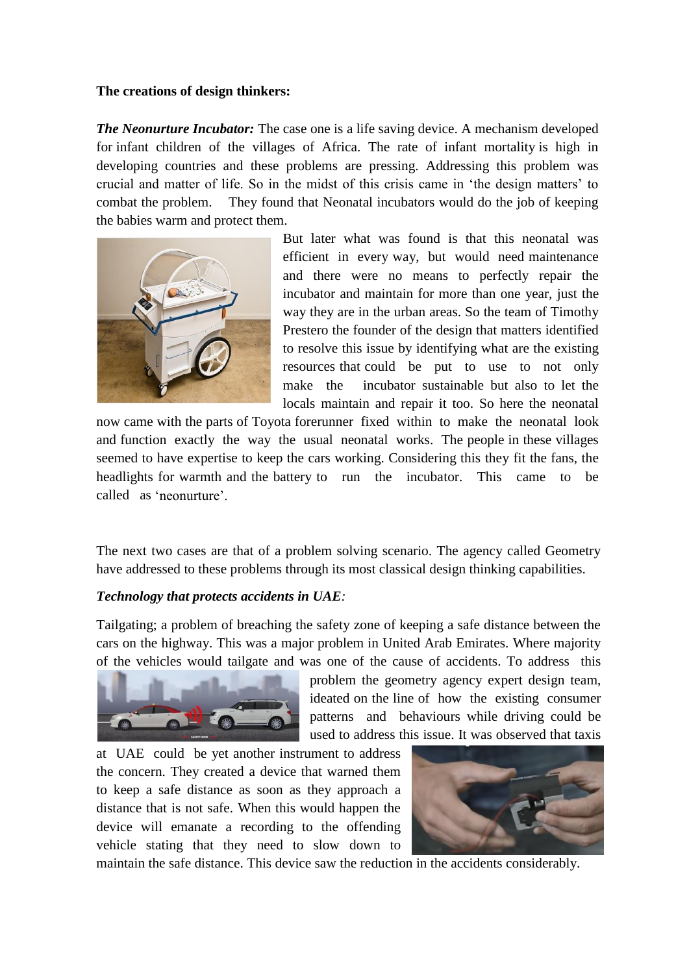### **The creations of design thinkers:**

*The Neonurture Incubator:* The case one is a life saving device. A mechanism developed for infant children of the villages of Africa. The rate of infant mortality is high in developing countries and these problems are pressing. Addressing this problem was crucial and matter of life. So in the midst of this crisis came in 'the design matters' to combat the problem. They found that Neonatal incubators would do the job of keeping the babies warm and protect them.



But later what was found is that this neonatal was efficient in every way, but would need maintenance and there were no means to perfectly repair the incubator and maintain for more than one year, just the way they are in the urban areas. So the team of Timothy Prestero the founder of the design that matters identified to resolve this issue by identifying what are the existing resources that could be put to use to not only make the incubator sustainable but also to let the locals maintain and repair it too. So here the neonatal

now came with the parts of Toyota forerunner fixed within to make the neonatal look and function exactly the way the usual neonatal works. The people in these villages seemed to have expertise to keep the cars working. Considering this they fit the fans, the headlights for warmth and the battery to run the incubator. This came to be called as 'neonurture'.

The next two cases are that of a problem solving scenario. The agency called Geometry have addressed to these problems through its most classical design thinking capabilities.

# *Technology that protects accidents in UAE:*

Tailgating; a problem of breaching the safety zone of keeping a safe distance between the cars on the highway. This was a major problem in United Arab Emirates. Where majority of the vehicles would tailgate and was one of the cause of accidents. To address this



problem the geometry agency expert design team, ideated on the line of how the existing consumer patterns and behaviours while driving could be used to address this issue. It was observed that taxis

at UAE could be yet another instrument to address the concern. They created a device that warned them to keep a safe distance as soon as they approach a distance that is not safe. When this would happen the device will emanate a recording to the offending vehicle stating that they need to slow down to



maintain the safe distance. This device saw the reduction in the accidents considerably.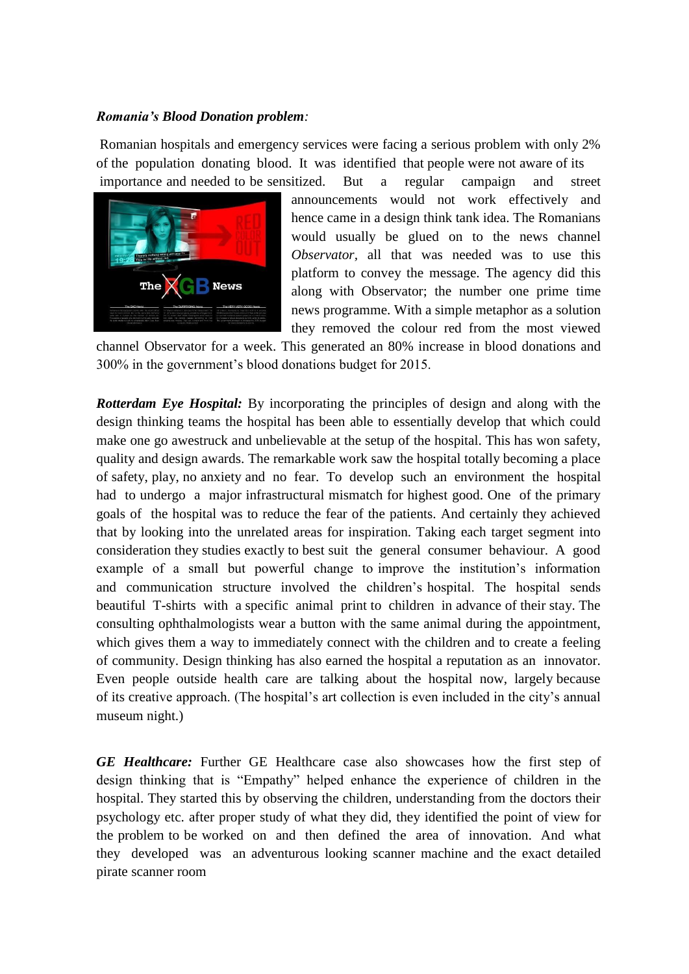#### *Romania's Blood Donation problem:*

Romanian hospitals and emergency services were facing a serious problem with only 2% of the population donating blood. It was identified that people were not aware of its importance and needed to be sensitized. But a regular campaign and street



announcements would not work effectively and hence came in a design think tank idea. The Romanians would usually be glued on to the news channel *Observator,* all that was needed was to use this platform to convey the message. The agency did this along with Observator; the number one prime time news programme. With a simple metaphor as a solution they removed the colour red from the most viewed

channel Observator for a week. This generated an 80% increase in blood donations and 300% in the government's blood donations budget for 2015.

*Rotterdam Eye Hospital:* By incorporating the principles of design and along with the design thinking teams the hospital has been able to essentially develop that which could make one go awestruck and unbelievable at the setup of the hospital. This has won safety, quality and design awards. The remarkable work saw the hospital totally becoming a place of safety, play, no anxiety and no fear. To develop such an environment the hospital had to undergo a major infrastructural mismatch for highest good. One of the primary goals of the hospital was to reduce the fear of the patients. And certainly they achieved that by looking into the unrelated areas for inspiration. Taking each target segment into consideration they studies exactly to best suit the general consumer behaviour. A good example of a small but powerful change to improve the institution's information and communication structure involved the children's hospital. The hospital sends beautiful T-shirts with a specific animal print to children in advance of their stay. The consulting ophthalmologists wear a button with the same animal during the appointment, which gives them a way to immediately connect with the children and to create a feeling of community. Design thinking has also earned the hospital a reputation as an innovator. Even people outside health care are talking about the hospital now, largely because of its creative approach. (The hospital's art collection is even included in the city's annual museum night.)

*GE Healthcare:* Further GE Healthcare case also showcases how the first step of design thinking that is "Empathy" helped enhance the experience of children in the hospital. They started this by observing the children, understanding from the doctors their psychology etc. after proper study of what they did, they identified the point of view for the problem to be worked on and then defined the area of innovation. And what they developed was an adventurous looking scanner machine and the exact detailed pirate scanner room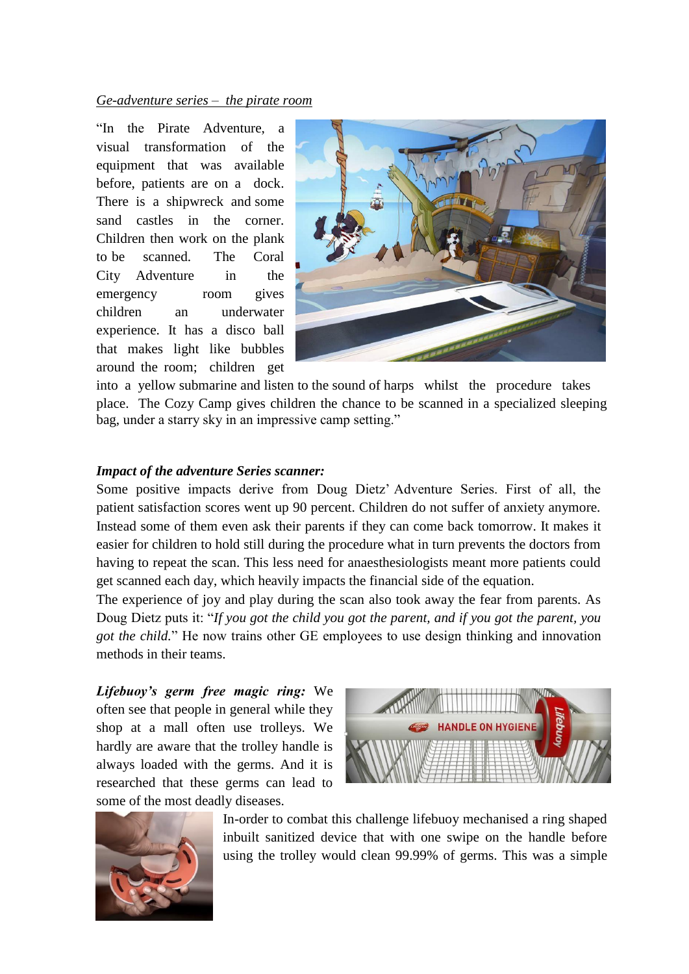### *Ge-adventure series – the pirate room*

"In the Pirate Adventure, a visual transformation of the equipment that was available before, patients are on a dock. There is a shipwreck and some sand castles in the corner. Children then work on the plank to be scanned. The Coral City Adventure in the emergency room gives children an underwater experience. It has a disco ball that makes light like bubbles around the room; children get



into a yellow submarine and listen to the sound of harps whilst the procedure takes place. The Cozy Camp gives children the chance to be scanned in a specialized sleeping bag, under a starry sky in an impressive camp setting."

#### *Impact of the adventure Series scanner:*

Some positive impacts derive from Doug Dietz' Adventure Series. First of all, the patient satisfaction scores went up 90 percent. Children do not suffer of anxiety anymore. Instead some of them even ask their parents if they can come back tomorrow. It makes it easier for children to hold still during the procedure what in turn prevents the doctors from having to repeat the scan. This less need for anaesthesiologists meant more patients could get scanned each day, which heavily impacts the financial side of the equation.

The experience of joy and play during the scan also took away the fear from parents. As Doug Dietz puts it: "*If you got the child you got the parent, and if you got the parent, you got the child.*" He now trains other GE employees to use design thinking and innovation methods in their teams.

*Lifebuoy's germ free magic ring:* We often see that people in general while they shop at a mall often use trolleys. We hardly are aware that the trolley handle is always loaded with the germs. And it is researched that these germs can lead to some of the most deadly diseases.





In-order to combat this challenge lifebuoy mechanised a ring shaped inbuilt sanitized device that with one swipe on the handle before using the trolley would clean 99.99% of germs. This was a simple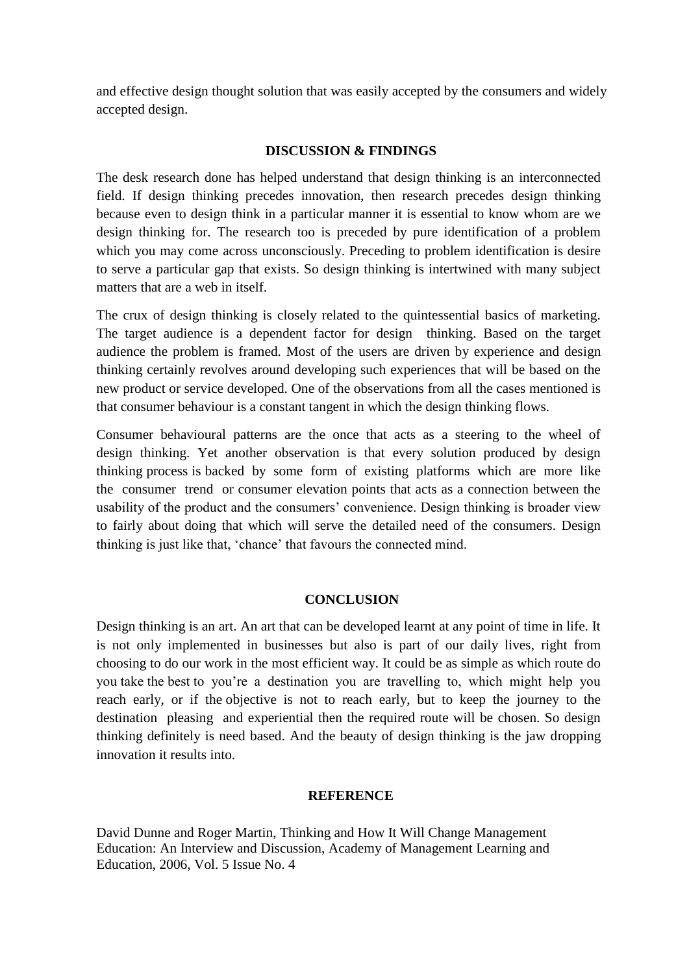and effective design thought solution that was easily accepted by the consumers and widely accepted design.

### **DISCUSSION & FINDINGS**

The desk research done has helped understand that design thinking is an interconnected field. If design thinking precedes innovation, then research precedes design thinking because even to design think in a particular manner it is essential to know whom are we design thinking for. The research too is preceded by pure identification of a problem which you may come across unconsciously. Preceding to problem identification is desire to serve a particular gap that exists. So design thinking is intertwined with many subject matters that are a web in itself.

The crux of design thinking is closely related to the quintessential basics of marketing. The target audience is a dependent factor for design thinking. Based on the target audience the problem is framed. Most of the users are driven by experience and design thinking certainly revolves around developing such experiences that will be based on the new product or service developed. One of the observations from all the cases mentioned is that consumer behaviour is a constant tangent in which the design thinking flows.

Consumer behavioural patterns are the once that acts as a steering to the wheel of design thinking. Yet another observation is that every solution produced by design thinking process is backed by some form of existing platforms which are more like the consumer trend or consumer elevation points that acts as a connection between the usability of the product and the consumers' convenience. Design thinking is broader view to fairly about doing that which will serve the detailed need of the consumers. Design thinking is just like that, 'chance' that favours the connected mind.

#### **CONCLUSION**

Design thinking is an art. An art that can be developed learnt at any point of time in life. It is not only implemented in businesses but also is part of our daily lives, right from choosing to do our work in the most efficient way. It could be as simple as which route do you take the best to you're a destination you are travelling to, which might help you reach early, or if the objective is not to reach early, but to keep the journey to the destination pleasing and experiential then the required route will be chosen. So design thinking definitely is need based. And the beauty of design thinking is the jaw dropping innovation it results into.

#### **REFERENCE**

David Dunne and Roger Martin, Thinking and How It Will Change Management Education: An Interview and Discussion, Academy of Management Learning and Education, 2006, Vol. 5 Issue No. 4